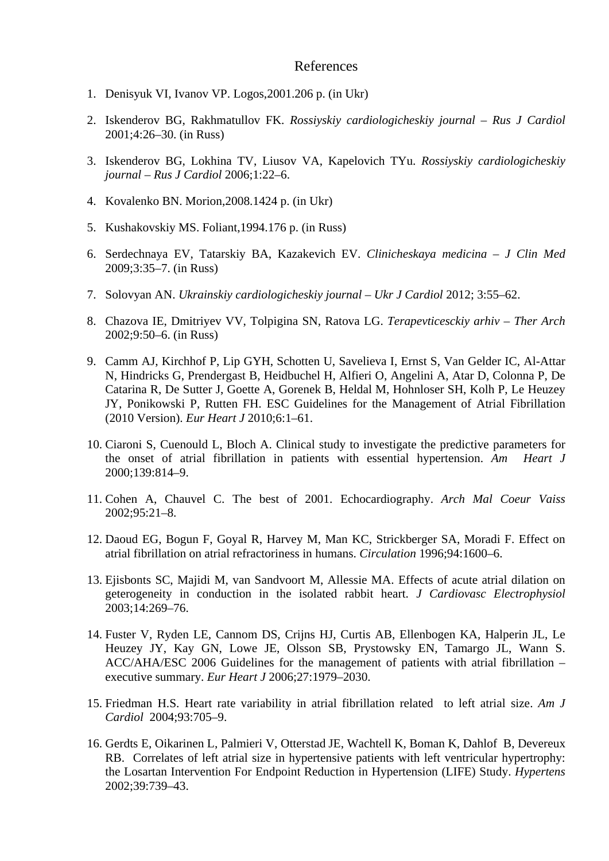## References

- 1. Denisyuk VI, Ivanov VP. Logos,2001.206 p. (in Ukr)
- 2. Iskenderov BG, Rakhmatullov FK. *Rossiyskiy cardiologicheskiy journal Rus J Cardiol* 2001;4:26–30. (in Russ)
- 3. Iskenderov BG, Lokhina TV, Liusov VA, Kapelovich TYu. *Rossiyskiy cardiologicheskiy journal – Rus J Cardiol* 2006;1:22–6.
- 4. Kovalenko BN. Morion,2008.1424 p. (in Ukr)
- 5. Kushakovskiy MS. Foliant,1994.176 p. (in Russ)
- 6. Serdechnaya EV, Tatarskiy BA, Kazakevich EV. *Clinicheskaya medicina J Clin Med* 2009;3:35–7. (in Russ)
- 7. Solovyan AN. *Ukrainskiy cardiologicheskiy journal Ukr J Cardiol* 2012; 3:55–62.
- 8. Chazova IE, Dmitriyev VV, Tolpigina SN, Ratova LG. *Terapevticesckiy arhiv Ther Arch* 2002;9:50–6. (in Russ)
- 9. Camm AJ, Kirchhof P, Lip GYH, Schotten U, Savelieva I, Ernst S, Van Gelder IC, Al-Attar N, Hindricks G, Prendergast B, Heidbuchel H, Alfieri O, Angelini A, Atar D, Colonna P, De Catarina R, De Sutter J, Goette A, Gorenek B, Heldal M, Hohnloser SH, Kolh P, Le Heuzey JY, Ponikowski P, Rutten FH. ESC Guidelines for the Management of Atrial Fibrillation (2010 Version). *Eur Heart J* 2010;6:1–61.
- 10. Ciaroni S, Cuenould L, Bloch A. Clinical study to investigate the predictive parameters for the onset of atrial fibrillation in patients with essential hypertension. *Am Heart J* 2000;139:814–9.
- 11. Cohen A, Chauvel C. The best of 2001. Echocardiography. *Arch Mal Coeur Vaiss* 2002;95:21–8.
- 12. Daoud EG, Bogun F, Goyal R, Harvey M, Man KC, Strickberger SA, Moradi F. Effect on atrial fibrillation on atrial refractoriness in humans. *Circulation* 1996;94:1600–6.
- 13. Ejisbonts SC, Majidi M, van Sandvoort M, Allessie MA. Effects of acute atrial dilation on geterogeneity in conduction in the isolated rabbit heart. *J Cardiovasc Electrophysiol* 2003;14:269–76.
- 14. Fuster V, Ryden LE, Cannom DS, Crijns HJ, Curtis AB, Ellenbogen KA, Halperin JL, Le Heuzey JY, Kay GN, Lowe JE, Olsson SB, Prystowsky EN, Tamargo JL, Wann S. ACC/AHA/ESC 2006 Guidelines for the management of patients with atrial fibrillation – executive summary. *Eur Heart J* 2006;27:1979–2030.
- 15. Friedman H.S. Heart rate variability in atrial fibrillation related to left atrial size. *Am J Cardiol* 2004;93:705–9.
- 16. Gerdts E, Oikarinen L, Palmieri V, Otterstad JE, Wachtell K, Boman K, Dahlof B, Devereux RB. Correlates of left atrial size in hypertensive patients with left ventricular hypertrophy: the Losartan Intervention For Endpoint Reduction in Hypertension (LIFE) Study. *Hypertens* 2002;39:739–43.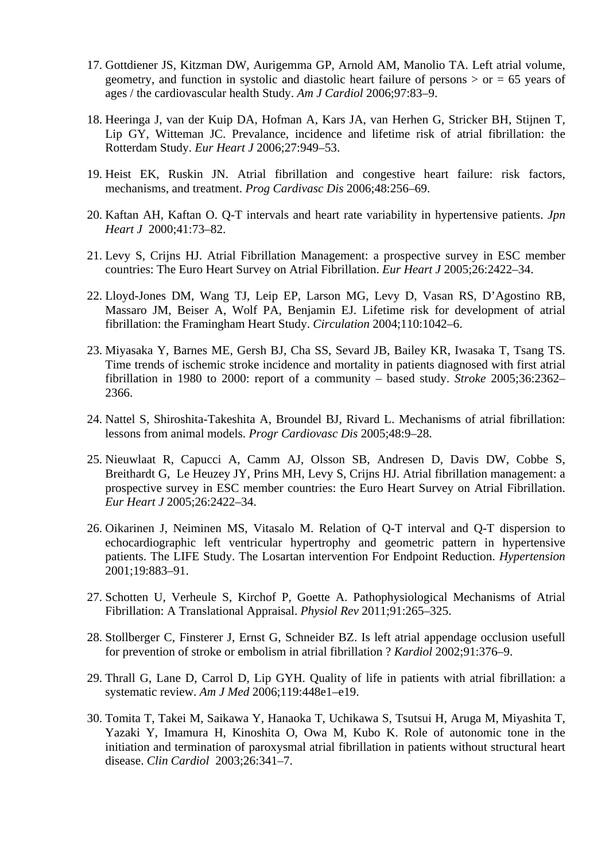- 17. Gottdiener JS, Kitzman DW, Aurigemma GP, Arnold AM, Manolio TA. Left atrial volume, geometry, and function in systolic and diastolic heart failure of persons  $>$  or  $=$  65 years of ages / the cardiovascular health Study. *Am J Cardiol* 2006;97:83–9.
- 18. Heeringa J, van der Kuip DA, Hofman A, Kars JA, van Herhen G, Stricker BH, Stijnen T, Lip GY, Witteman JC. Prevalance, incidence and lifetime risk of atrial fibrillation: the Rotterdam Study. *Eur Heart J* 2006;27:949–53.
- 19. Heist EK, Ruskin JN. Atrial fibrillation and congestive heart failure: risk factors, mechanisms, and treatment. *Prog Cardivasc Dis* 2006;48:256–69.
- 20. Kaftan AH, Kaftan O. Q-T intervals and heart rate variability in hypertensive patients. *Jpn Heart J* 2000;41:73–82.
- 21. Levy S, Crijns HJ. Atrial Fibrillation Management: a prospective survey in ESC member countries: The Euro Heart Survey on Atrial Fibrillation. *Eur Heart J* 2005;26:2422–34.
- 22. Lloyd-Jones DM, Wang TJ, Leip EP, Larson MG, Levy D, Vasan RS, D'Agostino RB, Massaro JM, Beiser A, Wolf PA, Benjamin EJ. Lifetime risk for development of atrial fibrillation: the Framingham Heart Study. *Circulation* 2004;110:1042–6.
- 23. Miyasaka Y, Barnes ME, Gersh BJ, Cha SS, Sevard JB, Bailey KR, Iwasaka T, Tsang TS. Time trends of ischemic stroke incidence and mortality in patients diagnosed with first atrial fibrillation in 1980 to 2000: report of a community – based study. *Stroke* 2005;36:2362– 2366.
- 24. Nattel S, Shiroshita-Takeshita A, Broundel BJ, Rivard L. Mechanisms of atrial fibrillation: lessons from animal models. *Progr Cardiovasc Dis* 2005;48:9–28.
- 25. Nieuwlaat R, Capucci A, Camm AJ, Olsson SB, Andresen D, Davis DW, Cobbe S, Breithardt G, Le Heuzey JY, Prins MH, Levy S, Crijns HJ. Atrial fibrillation management: a prospective survey in ESC member countries: the Euro Heart Survey on Atrial Fibrillation. *Eur Heart J* 2005;26:2422–34.
- 26. Oikarinen J, Neiminen MS, Vitasalo M. Relation of Q-T interval and Q-T dispersion to echocardiographic left ventricular hypertrophy and geometric pattern in hypertensive patients. The LIFE Study. The Losartan intervention For Endpoint Reduction. *Hypertension* 2001;19:883–91.
- 27. Schotten U, Verheule S, Kirchof P, Goette A. Pathophysiological Mechanisms of Atrial Fibrillation: A Translational Appraisal. *Physiol Rev* 2011;91:265–325.
- 28. Stollberger C, Finsterer J, Ernst G, Schneider BZ. Is left atrial appendage occlusion usefull for prevention of stroke or embolism in atrial fibrillation ? *Kardiol* 2002;91:376–9.
- 29. Thrall G, Lane D, Carrol D, Lip GYH. Quality of life in patients with atrial fibrillation: a systematic review. *Am J Med* 2006;119:448e1–e19.
- 30. Tomita T, Takei M, Saikawa Y, Hanaoka T, Uchikawa S, Tsutsui H, Aruga M, Miyashita T, Yazaki Y, Imamura H, Kinoshita O, Owa M, Kubo K. Role of autonomic tone in the initiation and termination of paroxysmal atrial fibrillation in patients without structural heart disease. *Clin Cardiol* 2003;26:341–7.